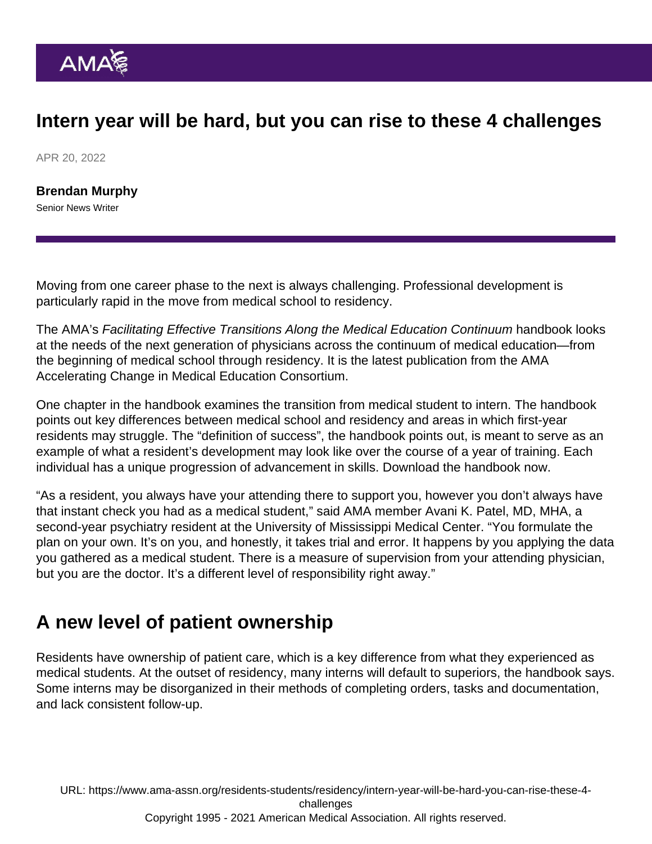## Intern year will be hard, but you can rise to these 4 challenges

APR 20, 2022

[Brendan Murphy](https://www.ama-assn.org/news-leadership-viewpoints/authors-news-leadership-viewpoints/brendan-murphy) Senior News Writer

Moving from one career phase to the next is always challenging. Professional development is particularly rapid in the move from medical school to residency.

The AMA's Facilitating Effective Transitions Along the Medical Education Continuum handbook looks at the needs of the next generation of physicians across the continuum of medical education—from the beginning of medical school through residency. It is the latest publication from the [AMA](https://www.ama-assn.org/education/accelerating-change-medical-education) [Accelerating Change in Medical Education Consortium](https://www.ama-assn.org/education/accelerating-change-medical-education).

One chapter in the handbook examines the transition from medical student to intern. The handbook points out key differences between medical school and residency and areas in which first-year residents may struggle. The "definition of success", the handbook points out, is meant to serve as an example of what a resident's development may look like over the course of a year of training. Each individual has a unique progression of advancement in skills. [Download the handbook now](https://cloud.e.ama-assn.org/21-1682-New-Med-Ed-ebook).

"As a resident, you always have your attending there to support you, however you don't always have that instant check you had as a medical student," said AMA member Avani K. Patel, MD, MHA, a second-year psychiatry resident at the University of Mississippi Medical Center. "You formulate the plan on your own. It's on you, and honestly, it takes trial and error. It happens by you applying the data you gathered as a medical student. There is a measure of supervision from your attending physician, but you are the doctor. It's a different level of responsibility right away."

## A new level of patient ownership

Residents have ownership of patient care, which is a key difference from what they experienced as medical students. At the outset of residency, many interns will default to superiors, the handbook says. Some interns may be disorganized in their methods of completing orders, tasks and documentation, and lack consistent follow-up.

URL: [https://www.ama-assn.org/residents-students/residency/intern-year-will-be-hard-you-can-rise-these-4](https://www.ama-assn.org/residents-students/residency/intern-year-will-be-hard-you-can-rise-these-4-challenges) [challenges](https://www.ama-assn.org/residents-students/residency/intern-year-will-be-hard-you-can-rise-these-4-challenges) Copyright 1995 - 2021 American Medical Association. All rights reserved.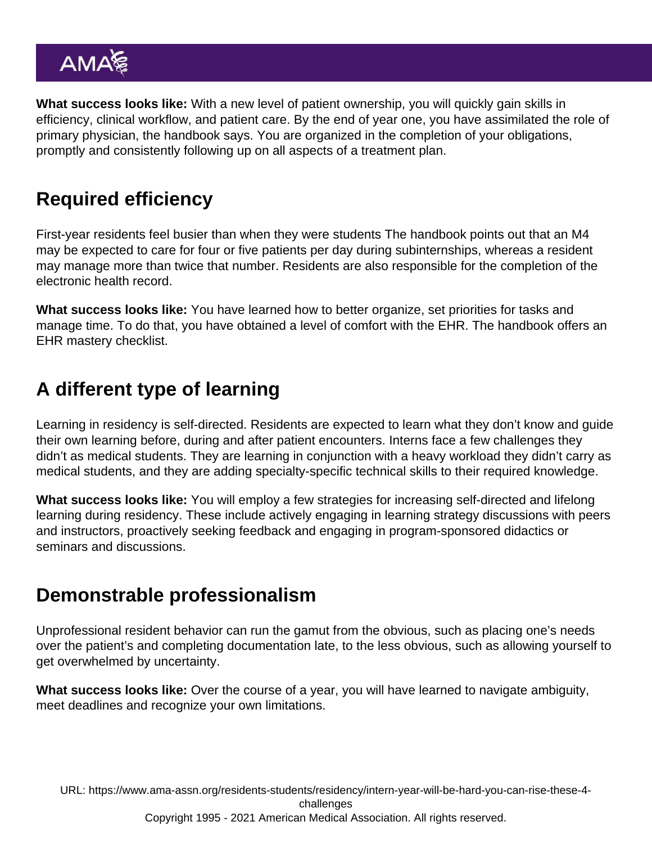What success looks like: With a new level of patient ownership, you will quickly gain skills in efficiency, clinical workflow, and patient care. By the end of year one, you have assimilated the role of primary physician, the handbook says. You are organized in the completion of your obligations, promptly and consistently following up on all aspects of a treatment plan.

## Required efficiency

First-year residents feel busier than when they were students The handbook points out that an M4 may be expected to care for four or five patients per day during subinternships, whereas a resident may manage more than twice that number. Residents are also responsible for the completion of the electronic health record.

What success looks like: You have learned how to better organize, set priorities for tasks and manage time. To do that, you have obtained a level of comfort with the EHR. The handbook offers an EHR mastery checklist.

# A different type of learning

Learning in residency is self-directed. Residents are expected to learn what they don't know and guide their own learning before, during and after patient encounters. Interns face a few challenges they didn't as medical students. They are learning in conjunction with a heavy workload they didn't carry as medical students, and they are adding specialty-specific technical skills to their required knowledge.

What success looks like: You will employ a few strategies for increasing self-directed and lifelong learning during residency. These include actively engaging in learning strategy discussions with peers and instructors, proactively seeking feedback and engaging in program-sponsored didactics or seminars and discussions.

# Demonstrable professionalism

Unprofessional resident behavior can run the gamut from the obvious, such as placing one's needs over the patient's and completing documentation late, to the less obvious, such as allowing yourself to get overwhelmed by uncertainty.

What success looks like: Over the course of a year, you will have learned to navigate ambiguity, meet deadlines and recognize your own limitations.

URL: [https://www.ama-assn.org/residents-students/residency/intern-year-will-be-hard-you-can-rise-these-4](https://www.ama-assn.org/residents-students/residency/intern-year-will-be-hard-you-can-rise-these-4-challenges) [challenges](https://www.ama-assn.org/residents-students/residency/intern-year-will-be-hard-you-can-rise-these-4-challenges) Copyright 1995 - 2021 American Medical Association. All rights reserved.